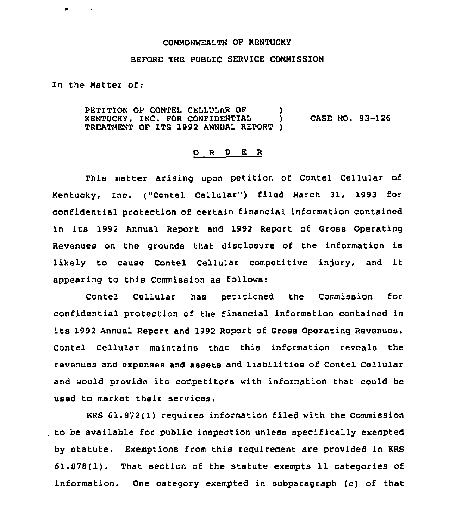## COMMONWEALTH OF KENTUCKY

## BEFORE THE PUBLIC SERVICE COMMISSION

In the Matter ofi

PETITION OF CONTEL CELLULAR OF KENTUCKY, INC. FOR CONFIDENTIAL ) CASE NO. 93-126 TREATMENT OF ITS 1992 ANNUAL REPORT )

## 0 <sup>R</sup> <sup>D</sup> E <sup>R</sup>

This matter arising upon petition of Contel Cellular of Kentucky, Inc. ("Contel Cellular" ) filed March 31, 1993 for confidential protection of certain financial information contained in its 1992 Annual Report and 1992 Report of Gross Operating Revenues on the grounds that disclosure of the information is likely to cause Contel Cellular competitive injury, and it appearing to this Commission as follows:

Contel Cellular has petitioned the Commission for confidential protection of the financial information contained in its 1992 Annual Report and 1992 Report of Gross Operating Revenues. Contel Cellular maintains that this information reveals the revenues and expenses and assets and liabilities of Contel Cellular and would provide its competitors with information that could be Used to market their services.

KRS 61.872(1) requires information filed with the Commission to be available for public inspection unless specifically exempted by statute. Exemptions from this requirement are provided in KRS 61.878(1). That section of the statute exempts 11 categories of information. One category exempted in subparagraph (c) of that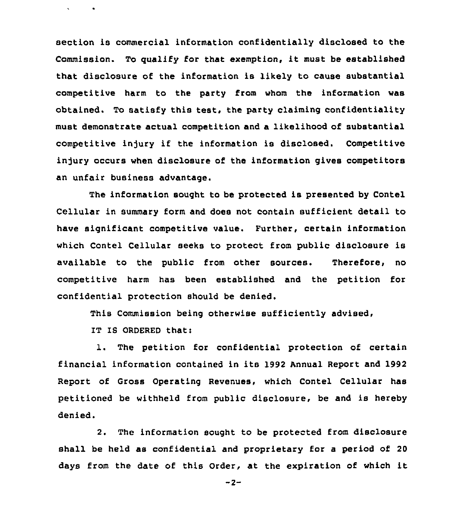section is commercial information confidentially disclosed to the Commission. To gualify for that exemption, it must be established that disclosure of the information is likely to cause substantial competitive harm to the party from whom the information was obtained. To satisfy this test, the party claiming confidentiality must demonstrate actual competition and a likelihood of substantial competitive in)ury if the information is disclosed. Competitive injury occurs when disclosure of the information gives competitors an unfair business advantage.

The information sought to be protected is presented by Contel Cellular in summary form and does not contain sufficient detail to have significant competitive value. Further, certain information which Contel Cellular seeks to protect from public disclosure is available to the public from other sources. Therefore, no competitive harm has been established and the petition for confidential protection should be denied.

This Commission being otherwise sufficiently advised,

IT IS ORDERED that:

 $\mathbf{v} = \mathbf{v} \times \mathbf{v}$  .  $\mathbf{v} = \mathbf{v}$ 

1. The petition for confidential protection of certain financial information contained in its 1992 Annual Report and 1992 Report of Gross Operating Revenues, which Contel Cellular has petitioned be withheld from public disclosure, be and is hereby denied.

2. The information sought to be protected from disclosure shall be held as confidential and proprietary for a period of 20 days from the date of this Order, at the expiration of which it

 $-2-$